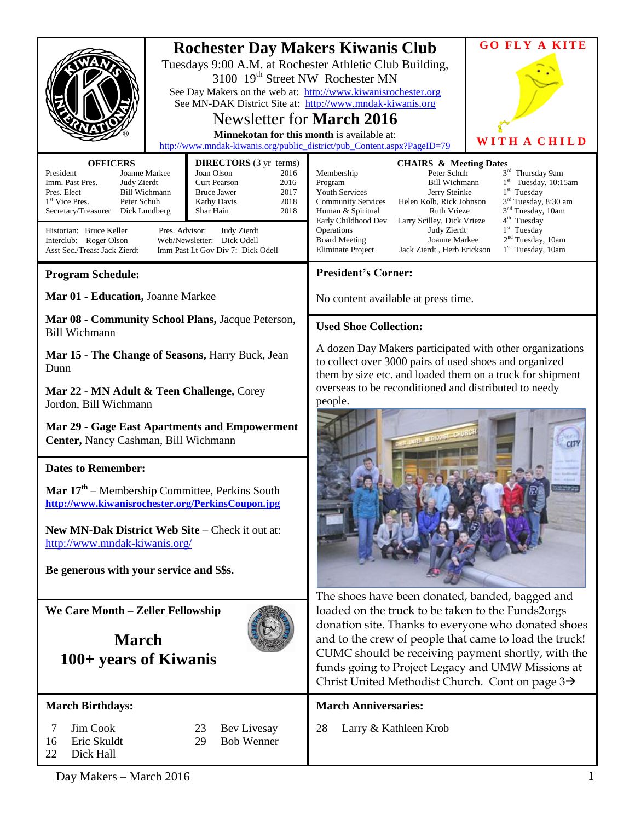| <b>OFFICERS</b><br>President<br>Joanne Markee<br>Imm. Past Pres.<br>Judy Zierdt<br>Pres. Elect<br><b>Bill Wichmann</b><br>1 <sup>st</sup> Vice Pres.<br>Peter Schuh<br>Secretary/Treasurer Dick Lundberg<br>Historian: Bruce Keller<br>Pres. Advisor:<br>Interclub: Roger Olson<br>Asst Sec./Treas: Jack Zierdt                                                                                                                                                                                                 | 3100 19 <sup>th</sup> Street NW Rochester MN<br>Newsletter for <b>March 2016</b><br>Minnekotan for this month is available at:<br><b>DIRECTORS</b> (3 yr terms)<br>Joan Olson<br>2016<br><b>Curt Pearson</b><br>2016<br><b>Bruce Jawer</b><br>2017<br>2018<br><b>Kathy Davis</b><br>2018<br>Shar Hain<br>Judy Zierdt<br>Web/Newsletter: Dick Odell<br>Imm Past Lt Gov Div 7: Dick Odell | <b>Rochester Day Makers Kiwanis Club</b><br>Tuesdays 9:00 A.M. at Rochester Athletic Club Building,<br>See Day Makers on the web at: http://www.kiwanisrochester.org<br>See MN-DAK District Site at: http://www.mndak-kiwanis.org<br>http://www.mndak-kiwanis.org/public_district/pub_Content.aspx?PageID=79<br><b>CHAIRS &amp; Meeting Dates</b><br>Membership<br>Peter Schuh<br>Program<br><b>Bill Wichmann</b><br><b>Youth Services</b><br>Jerry Steinke<br>Helen Kolb, Rick Johnson<br><b>Community Services</b><br><b>Ruth Vrieze</b><br>Human & Spiritual<br>Early Childhood Dev<br>Larry Scilley, Dick Vrieze<br>Operations<br>Judy Zierdt<br><b>Board Meeting</b><br>Joanne Markee<br>Eliminate Project<br>Jack Zierdt, Herb Erickson | <b>GO FLY A KITE</b><br>WITH A CHILD<br>$3^{\rm rd}$ Thursday 9am<br>$1st$ Tuesday, 10:15am<br>$1st$ Tuesday<br>3 <sup>rd</sup> Tuesday, 8:30 am<br>3 <sup>nd</sup> Tuesday, 10am<br>4 <sup>th</sup> Tuesday<br>$1st$ Tuesday<br>2 <sup>nd</sup> Tuesday, 10am<br>1 <sup>st</sup> Tuesday, 10am |
|-----------------------------------------------------------------------------------------------------------------------------------------------------------------------------------------------------------------------------------------------------------------------------------------------------------------------------------------------------------------------------------------------------------------------------------------------------------------------------------------------------------------|-----------------------------------------------------------------------------------------------------------------------------------------------------------------------------------------------------------------------------------------------------------------------------------------------------------------------------------------------------------------------------------------|-----------------------------------------------------------------------------------------------------------------------------------------------------------------------------------------------------------------------------------------------------------------------------------------------------------------------------------------------------------------------------------------------------------------------------------------------------------------------------------------------------------------------------------------------------------------------------------------------------------------------------------------------------------------------------------------------------------------------------------------------|-------------------------------------------------------------------------------------------------------------------------------------------------------------------------------------------------------------------------------------------------------------------------------------------------|
| <b>Program Schedule:</b>                                                                                                                                                                                                                                                                                                                                                                                                                                                                                        |                                                                                                                                                                                                                                                                                                                                                                                         | <b>President's Corner:</b>                                                                                                                                                                                                                                                                                                                                                                                                                                                                                                                                                                                                                                                                                                                    |                                                                                                                                                                                                                                                                                                 |
| Mar 01 - Education, Joanne Markee                                                                                                                                                                                                                                                                                                                                                                                                                                                                               |                                                                                                                                                                                                                                                                                                                                                                                         | No content available at press time.                                                                                                                                                                                                                                                                                                                                                                                                                                                                                                                                                                                                                                                                                                           |                                                                                                                                                                                                                                                                                                 |
| Mar 08 - Community School Plans, Jacque Peterson,<br><b>Bill Wichmann</b>                                                                                                                                                                                                                                                                                                                                                                                                                                       |                                                                                                                                                                                                                                                                                                                                                                                         | <b>Used Shoe Collection:</b>                                                                                                                                                                                                                                                                                                                                                                                                                                                                                                                                                                                                                                                                                                                  |                                                                                                                                                                                                                                                                                                 |
| Mar 15 - The Change of Seasons, Harry Buck, Jean<br>Dunn<br>Mar 22 - MN Adult & Teen Challenge, Corey<br>Jordon, Bill Wichmann<br>Mar 29 - Gage East Apartments and Empowerment<br>Center, Nancy Cashman, Bill Wichmann<br><b>Dates to Remember:</b><br><b>Mar <math>17th</math></b> – Membership Committee, Perkins South<br>http://www.kiwanisrochester.org/PerkinsCoupon.jpg<br>New MN-Dak District Web Site – Check it out at:<br>http://www.mndak-kiwanis.org/<br>Be generous with your service and \$\$s. |                                                                                                                                                                                                                                                                                                                                                                                         | A dozen Day Makers participated with other organizations<br>to collect over 3000 pairs of used shoes and organized<br>them by size etc. and loaded them on a truck for shipment<br>overseas to be reconditioned and distributed to needy<br>people.<br>The shoes have been donated, banded, bagged and                                                                                                                                                                                                                                                                                                                                                                                                                                        |                                                                                                                                                                                                                                                                                                 |
| We Care Month - Zeller Fellowship<br><b>March</b><br>100+ years of Kiwanis                                                                                                                                                                                                                                                                                                                                                                                                                                      |                                                                                                                                                                                                                                                                                                                                                                                         | loaded on the truck to be taken to the Funds2orgs<br>donation site. Thanks to everyone who donated shoes<br>and to the crew of people that came to load the truck!<br>CUMC should be receiving payment shortly, with the<br>funds going to Project Legacy and UMW Missions at<br>Christ United Methodist Church. Cont on page $3\rightarrow$                                                                                                                                                                                                                                                                                                                                                                                                  |                                                                                                                                                                                                                                                                                                 |
| <b>March Birthdays:</b><br>7<br>Jim Cook<br>23<br>Bev Livesay<br>Eric Skuldt<br><b>Bob Wenner</b><br>16<br>29<br>Dick Hall<br>22                                                                                                                                                                                                                                                                                                                                                                                |                                                                                                                                                                                                                                                                                                                                                                                         | <b>March Anniversaries:</b><br>28<br>Larry & Kathleen Krob                                                                                                                                                                                                                                                                                                                                                                                                                                                                                                                                                                                                                                                                                    |                                                                                                                                                                                                                                                                                                 |

Day Makers – March 2016 1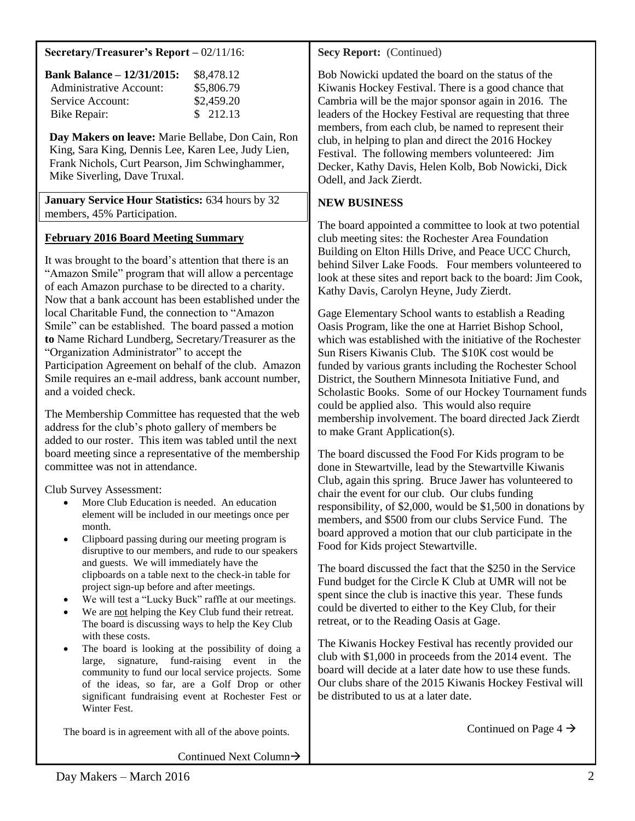#### **Secretary/Treasurer's Report –** 02/11/16:

| <b>Bank Balance – 12/31/2015:</b> | \$8,478.12 |
|-----------------------------------|------------|
| <b>Administrative Account:</b>    | \$5,806.79 |
| Service Account:                  | \$2,459.20 |
| Bike Repair:                      | \$ 212.13  |

**Day Makers on leave:** Marie Bellabe, Don Cain, Ron King, Sara King, Dennis Lee, Karen Lee, Judy Lien, Frank Nichols, Curt Pearson, Jim Schwinghammer, Mike Siverling, Dave Truxal.

**January Service Hour Statistics:** 634 hours by 32 members, 45% Participation.

### **February 2016 Board Meeting Summary**

It was brought to the board's attention that there is an "Amazon Smile" program that will allow a percentage of each Amazon purchase to be directed to a charity. Now that a bank account has been established under the local Charitable Fund, the connection to "Amazon Smile" can be established. The board passed a motion **to** Name Richard Lundberg, Secretary/Treasurer as the "Organization Administrator" to accept the Participation Agreement on behalf of the club. Amazon Smile requires an e-mail address, bank account number, and a voided check.

The Membership Committee has requested that the web address for the club's photo gallery of members be added to our roster. This item was tabled until the next board meeting since a representative of the membership committee was not in attendance.

Club Survey Assessment:

- More Club Education is needed. An education element will be included in our meetings once per month.
- Clipboard passing during our meeting program is disruptive to our members, and rude to our speakers and guests. We will immediately have the clipboards on a table next to the check-in table for project sign-up before and after meetings.
- We will test a "Lucky Buck" raffle at our meetings.
- We are not helping the Key Club fund their retreat. The board is discussing ways to help the Key Club with these costs.
- The board is looking at the possibility of doing a large, signature, fund-raising event in the community to fund our local service projects. Some of the ideas, so far, are a Golf Drop or other significant fundraising event at Rochester Fest or Winter Fest.

The board is in agreement with all of the above points.

Continued Next Column $\rightarrow$ 

**Secy Report:** (Continued)

Bob Nowicki updated the board on the status of the Kiwanis Hockey Festival. There is a good chance that Cambria will be the major sponsor again in 2016. The leaders of the Hockey Festival are requesting that three members, from each club, be named to represent their club, in helping to plan and direct the 2016 Hockey Festival. The following members volunteered: Jim Decker, Kathy Davis, Helen Kolb, Bob Nowicki, Dick Odell, and Jack Zierdt.

## **NEW BUSINESS**

The board appointed a committee to look at two potential club meeting sites: the Rochester Area Foundation Building on Elton Hills Drive, and Peace UCC Church, behind Silver Lake Foods. Four members volunteered to look at these sites and report back to the board: Jim Cook, Kathy Davis, Carolyn Heyne, Judy Zierdt.

Gage Elementary School wants to establish a Reading Oasis Program, like the one at Harriet Bishop School, which was established with the initiative of the Rochester Sun Risers Kiwanis Club. The \$10K cost would be funded by various grants including the Rochester School District, the Southern Minnesota Initiative Fund, and Scholastic Books. Some of our Hockey Tournament funds could be applied also. This would also require membership involvement. The board directed Jack Zierdt to make Grant Application(s).

The board discussed the Food For Kids program to be done in Stewartville, lead by the Stewartville Kiwanis Club, again this spring. Bruce Jawer has volunteered to chair the event for our club. Our clubs funding responsibility, of \$2,000, would be \$1,500 in donations by members, and \$500 from our clubs Service Fund. The board approved a motion that our club participate in the Food for Kids project Stewartville.

The board discussed the fact that the \$250 in the Service Fund budget for the Circle K Club at UMR will not be spent since the club is inactive this year. These funds could be diverted to either to the Key Club, for their retreat, or to the Reading Oasis at Gage.

The Kiwanis Hockey Festival has recently provided our club with \$1,000 in proceeds from the 2014 event. The board will decide at a later date how to use these funds. Our clubs share of the 2015 Kiwanis Hockey Festival will be distributed to us at a later date.

Continued on Page  $4 \rightarrow$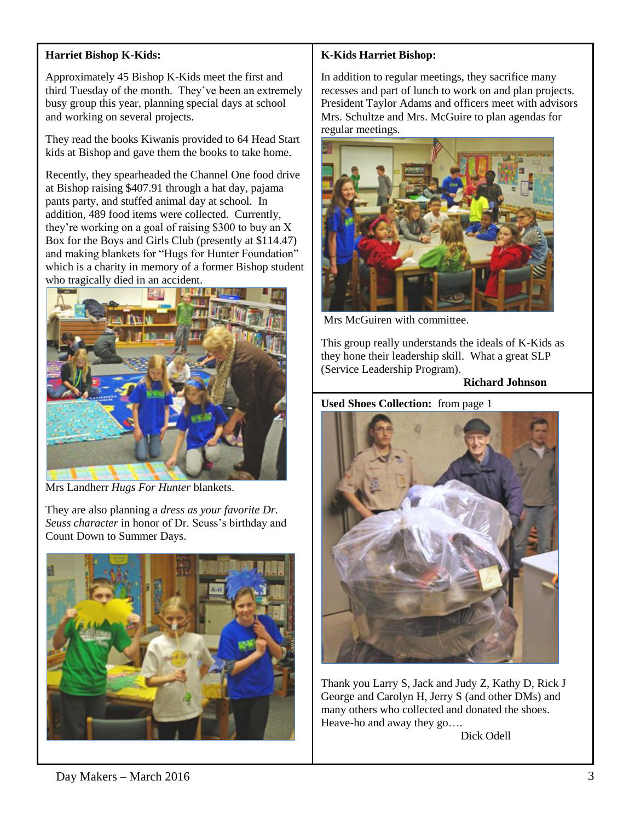## **Harriet Bishop K-Kids:**

Approximately 45 Bishop K-Kids meet the first and third Tuesday of the month. They've been an extremely busy group this year, planning special days at school and working on several projects.

They read the books Kiwanis provided to 64 Head Start kids at Bishop and gave them the books to take home.

Recently, they spearheaded the Channel One food drive at Bishop raising \$407.91 through a hat day, pajama pants party, and stuffed animal day at school. In addition, 489 food items were collected. Currently, they're working on a goal of raising \$300 to buy an X Box for the Boys and Girls Club (presently at \$114.47) and making blankets for "Hugs for Hunter Foundation" which is a charity in memory of a former Bishop student who tragically died in an accident.



Mrs Landherr *Hugs For Hunter* blankets.

They are also planning a *dress as your favorite Dr. Seuss character* in honor of Dr. Seuss's birthday and Count Down to Summer Days.



# **K-Kids Harriet Bishop:**

In addition to regular meetings, they sacrifice many recesses and part of lunch to work on and plan projects. President Taylor Adams and officers meet with advisors Mrs. Schultze and Mrs. McGuire to plan agendas for regular meetings.



Mrs McGuiren with committee.

This group really understands the ideals of K-Kids as they hone their leadership skill. What a great SLP (Service Leadership Program).

#### **Richard Johnson**

#### **Used Shoes Collection:** from page 1



Thank you Larry S, Jack and Judy Z, Kathy D, Rick J George and Carolyn H, Jerry S (and other DMs) and many others who collected and donated the shoes. Heave-ho and away they go….

Dick Odell